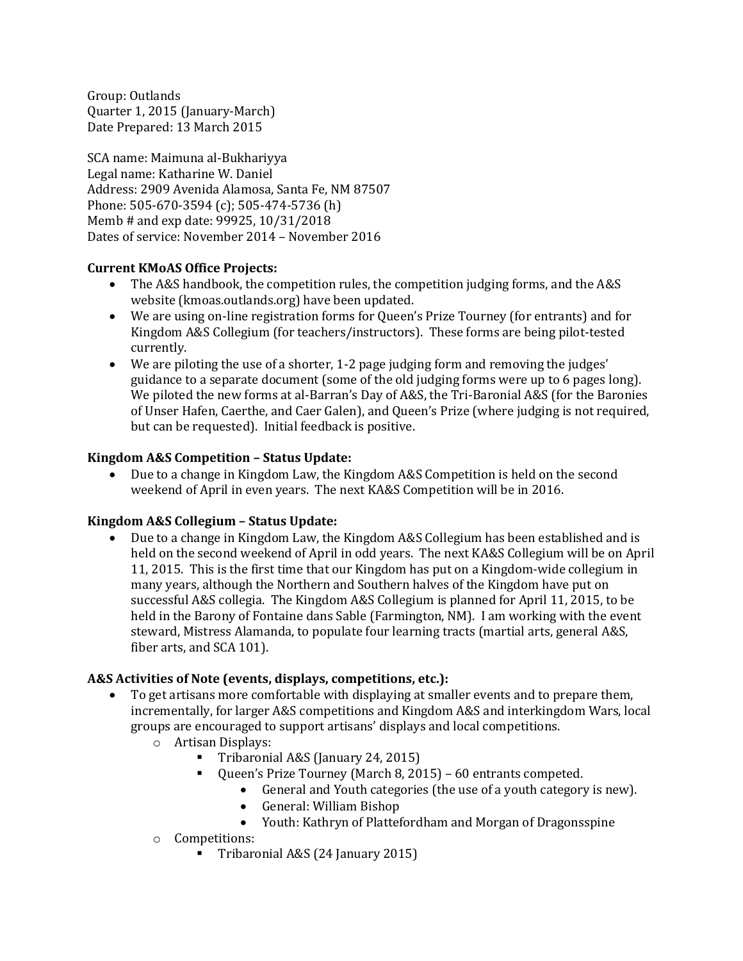Group: Outlands Quarter 1, 2015 (January-March) Date Prepared: 13 March 2015

SCA name: Maimuna al-Bukhariyya Legal name: Katharine W. Daniel Address: 2909 Avenida Alamosa, Santa Fe, NM 87507 Phone: 505-670-3594 (c); 505-474-5736 (h) Memb # and exp date: 99925, 10/31/2018 Dates of service: November 2014 – November 2016

# **Current KMoAS Office Projects:**

- The A&S handbook, the competition rules, the competition judging forms, and the A&S website (kmoas.outlands.org) have been updated.
- We are using on-line registration forms for Queen's Prize Tourney (for entrants) and for Kingdom A&S Collegium (for teachers/instructors). These forms are being pilot-tested currently.
- We are piloting the use of a shorter, 1-2 page judging form and removing the judges' guidance to a separate document (some of the old judging forms were up to 6 pages long). We piloted the new forms at al-Barran's Day of A&S, the Tri-Baronial A&S (for the Baronies of Unser Hafen, Caerthe, and Caer Galen), and Queen's Prize (where judging is not required, but can be requested). Initial feedback is positive.

# **Kingdom A&S Competition – Status Update:**

 Due to a change in Kingdom Law, the Kingdom A&S Competition is held on the second weekend of April in even years. The next KA&S Competition will be in 2016.

### **Kingdom A&S Collegium – Status Update:**

 Due to a change in Kingdom Law, the Kingdom A&S Collegium has been established and is held on the second weekend of April in odd years. The next KA&S Collegium will be on April 11, 2015. This is the first time that our Kingdom has put on a Kingdom-wide collegium in many years, although the Northern and Southern halves of the Kingdom have put on successful A&S collegia. The Kingdom A&S Collegium is planned for April 11, 2015, to be held in the Barony of Fontaine dans Sable (Farmington, NM). I am working with the event steward, Mistress Alamanda, to populate four learning tracts (martial arts, general A&S, fiber arts, and SCA 101).

### **A&S Activities of Note (events, displays, competitions, etc.):**

- To get artisans more comfortable with displaying at smaller events and to prepare them, incrementally, for larger A&S competitions and Kingdom A&S and interkingdom Wars, local groups are encouraged to support artisans' displays and local competitions.
	- o Artisan Displays:
		- Tribaronial A&S (January 24, 2015)
		- Queen's Prize Tourney (March 8, 2015) 60 entrants competed.
			- General and Youth categories (the use of a youth category is new).
			- General: William Bishop
			- Youth: Kathryn of Plattefordham and Morgan of Dragonsspine
	- o Competitions:
		- Tribaronial A&S (24 January 2015)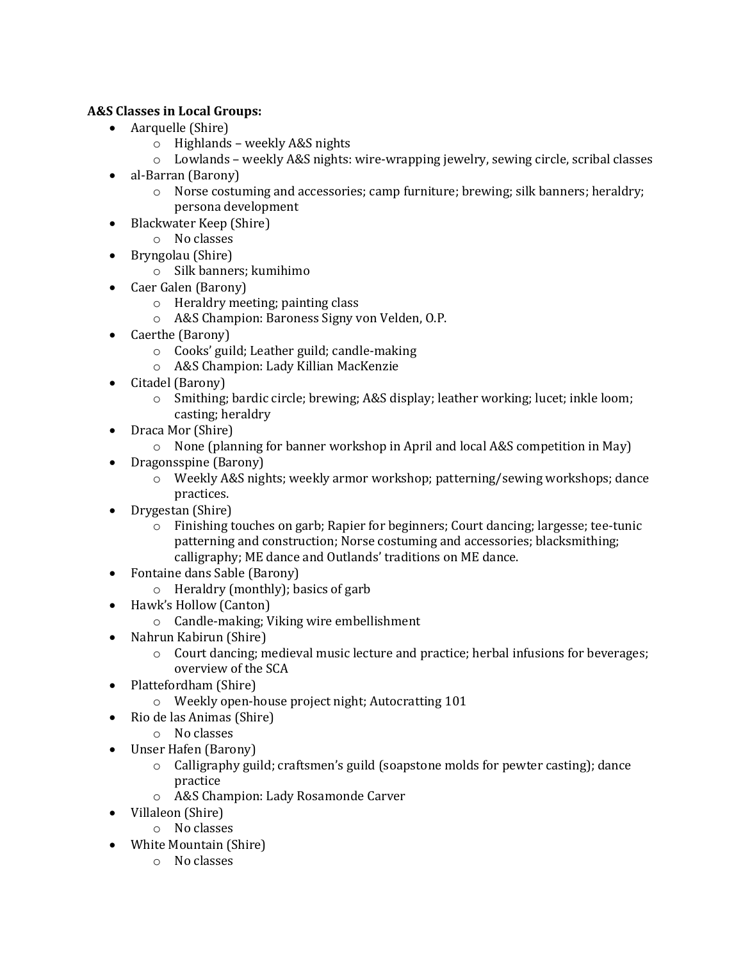# **A&S Classes in Local Groups:**

- Aarquelle (Shire)
	- o Highlands weekly A&S nights
	- o Lowlands weekly A&S nights: wire-wrapping jewelry, sewing circle, scribal classes
- al-Barran (Barony)
	- o Norse costuming and accessories; camp furniture; brewing; silk banners; heraldry; persona development
- Blackwater Keep (Shire)
	- o No classes
- Bryngolau (Shire)
	- o Silk banners; kumihimo
- Caer Galen (Barony)
	- o Heraldry meeting; painting class
	- o A&S Champion: Baroness Signy von Velden, O.P.
- Caerthe (Barony)
	- o Cooks' guild; Leather guild; candle-making
	- o A&S Champion: Lady Killian MacKenzie
- Citadel (Barony)
	- o Smithing; bardic circle; brewing; A&S display; leather working; lucet; inkle loom; casting; heraldry
- Draca Mor (Shire)
	- $\circ$  None (planning for banner workshop in April and local A&S competition in May)
- Dragonsspine (Barony)
	- o Weekly A&S nights; weekly armor workshop; patterning/sewing workshops; dance practices.
- Drygestan (Shire)
	- o Finishing touches on garb; Rapier for beginners; Court dancing; largesse; tee-tunic patterning and construction; Norse costuming and accessories; blacksmithing; calligraphy; ME dance and Outlands' traditions on ME dance.
- Fontaine dans Sable (Barony)
	- o Heraldry (monthly); basics of garb
- Hawk's Hollow (Canton)
	- o Candle-making; Viking wire embellishment
- Nahrun Kabirun (Shire)
	- o Court dancing; medieval music lecture and practice; herbal infusions for beverages; overview of the SCA
- Plattefordham (Shire)
	- o Weekly open-house project night; Autocratting 101
- Rio de las Animas (Shire)
	- o No classes
- Unser Hafen (Barony)
	- $\circ$  Calligraphy guild; craftsmen's guild (soapstone molds for pewter casting); dance practice
	- o A&S Champion: Lady Rosamonde Carver
- Villaleon (Shire)
	- o No classes
- White Mountain (Shire)
	- o No classes